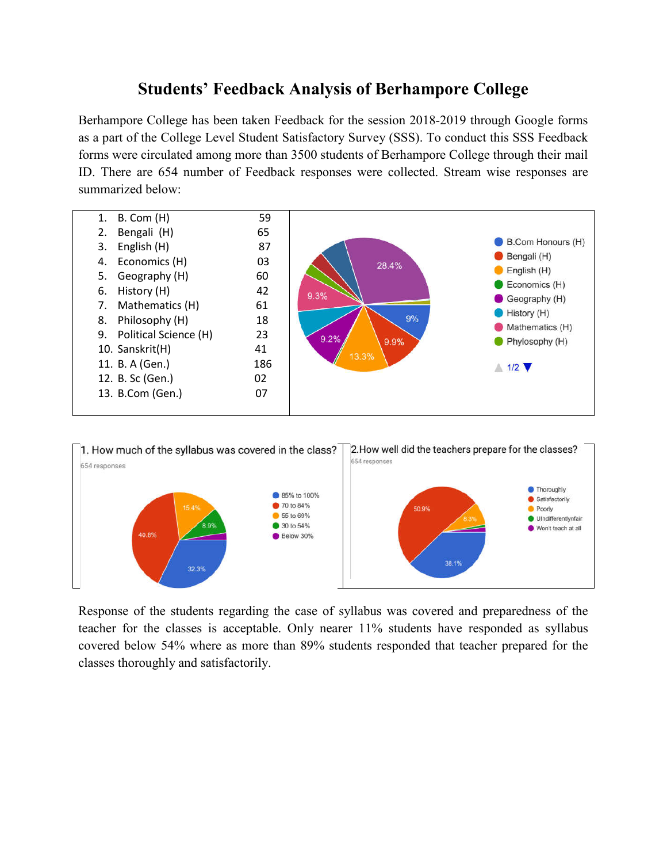## **Students' Feedback Analysis of Berhampore College**

Berhampore College has been taken Feedback for the session 2018-2019 through Google forms as a part of the College Level Student Satisfactory Survey (SSS). To conduct this SSS Feedback forms were circulated among more than 3500 students of Berhampore College through their mail ID. There are 654 number of Feedback responses were collected. Stream wise responses are summarized below:





Response of the students regarding the case of syllabus was covered and preparedness of the teacher for the classes is acceptable. Only nearer 11% students have responded as syllabus covered below 54% where as more than 89% students responded that teacher prepared for the classes thoroughly and satisfactorily.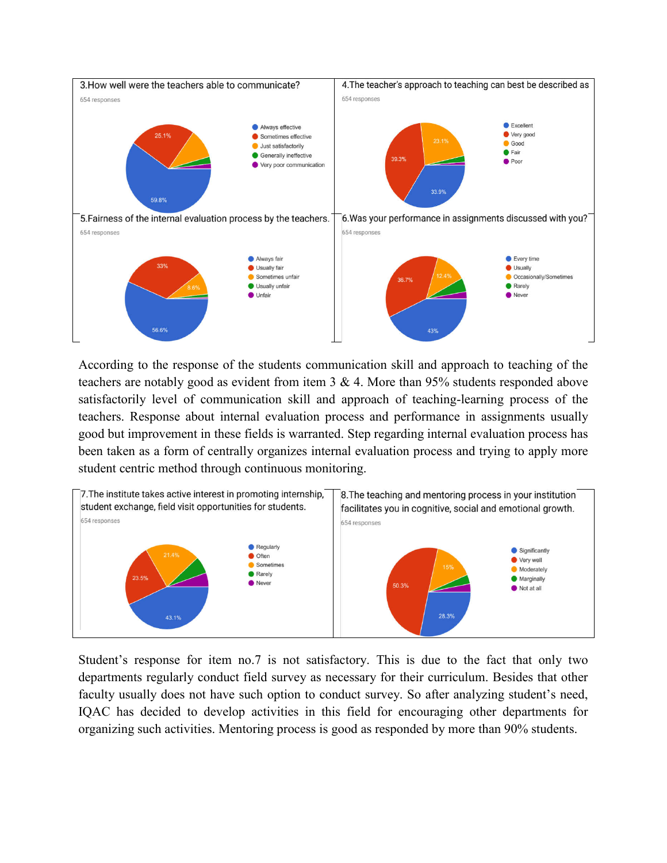

According to the response of the students communication skill and approach to teaching of the teachers are notably good as evident from item 3 & 4. More than 95% students responded above satisfactorily level of communication skill and approach of teaching-learning process of the teachers. Response about internal evaluation process and performance in assignments usually good but improvement in these fields is warranted. Step regarding internal evaluation process has been taken as a form of centrally organizes internal evaluation process and trying to apply more student centric method through continuous monitoring.



Student's response for item no.7 is not satisfactory. This is due to the fact that only two departments regularly conduct field survey as necessary for their curriculum. Besides that other faculty usually does not have such option to conduct survey. So after analyzing student's need, IQAC has decided to develop activities in this field for encouraging other departments for organizing such activities. Mentoring process is good as responded by more than 90% students.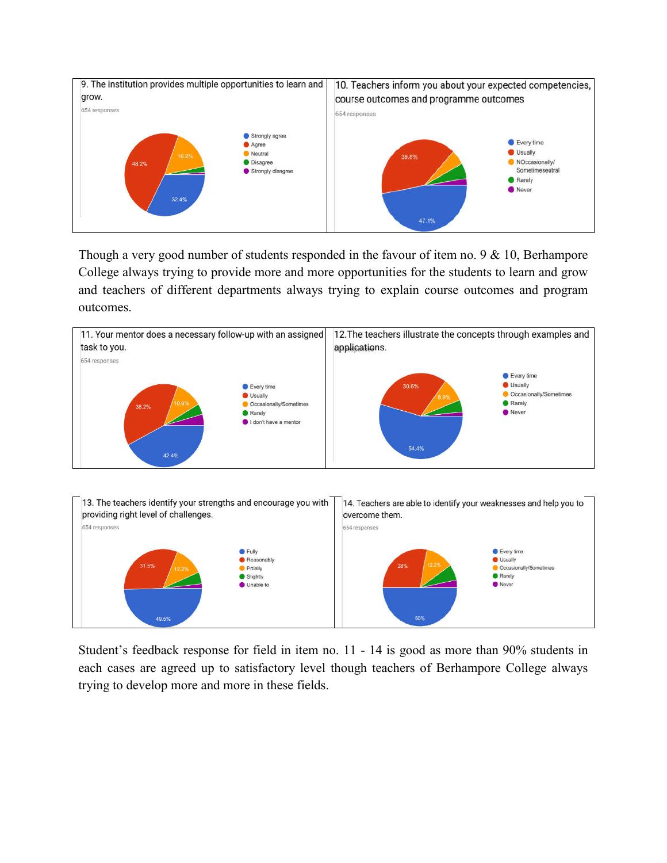

Though a very good number of students responded in the favour of item no. 9 & 10, Berhampore College always trying to provide more and more opportunities for the students to learn and grow and teachers of different departments always trying to explain course outcomes and program outcomes.





Student's feedback response for field in item no. 11 - 14 is good as more than 90% students in each cases are agreed up to satisfactory level though teachers of Berhampore College always trying to develop more and more in these fields.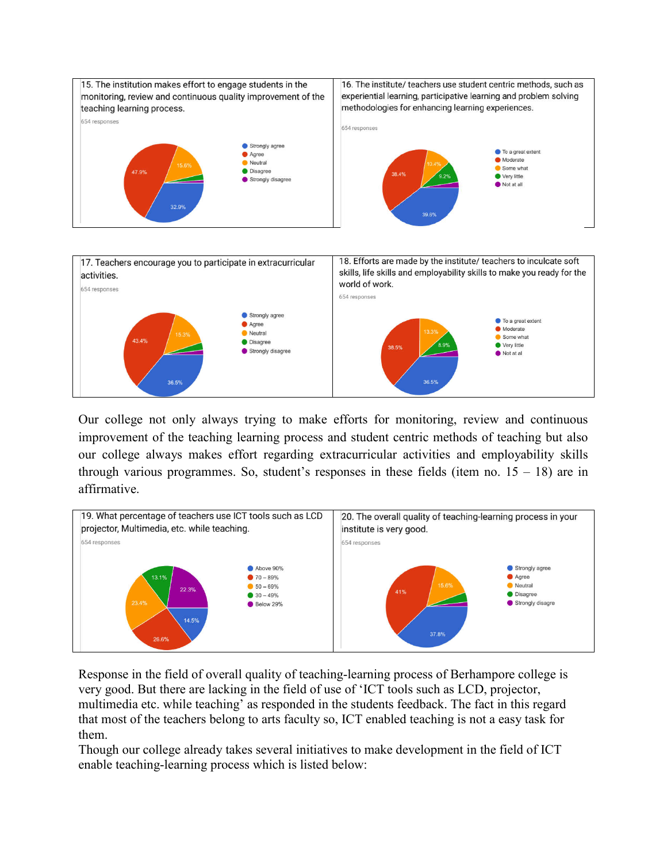

Our college not only always trying to make efforts for monitoring, review and continuous improvement of the teaching learning process and student centric methods of teaching but also our college always makes effort regarding extracurricular activities and employability skills through various programmes. So, student's responses in these fields (item no.  $15 - 18$ ) are in affirmative.



Response in the field of overall quality of teaching-learning process of Berhampore college is very good. But there are lacking in the field of use of 'ICT tools such as LCD, projector, multimedia etc. while teaching' as responded in the students feedback. The fact in this regard that most of the teachers belong to arts faculty so, ICT enabled teaching is not a easy task for them.

Though our college already takes several initiatives to make development in the field of ICT enable teaching-learning process which is listed below: